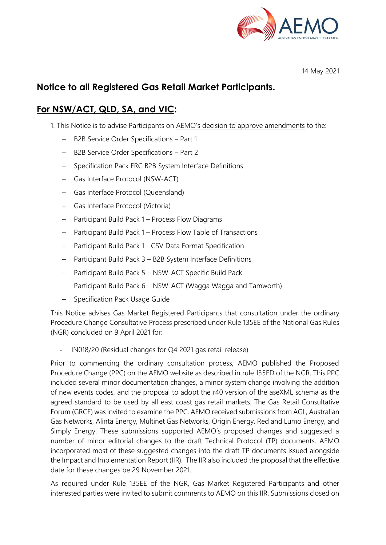

14 May 2021

# **Notice to all Registered Gas Retail Market Participants.**

# **For NSW/ACT, QLD, SA, and VIC:**

- 1. This Notice is to advise Participants on AEMO's decision to approve amendments to the:
	- B2B Service Order Specifications Part 1
	- B2B Service Order Specifications Part 2
	- Specification Pack FRC B2B System Interface Definitions
	- Gas Interface Protocol (NSW-ACT)
	- Gas Interface Protocol (Queensland)
	- Gas Interface Protocol (Victoria)
	- Participant Build Pack 1 Process Flow Diagrams
	- Participant Build Pack 1 Process Flow Table of Transactions
	- Participant Build Pack 1 CSV Data Format Specification
	- Participant Build Pack 3 B2B System Interface Definitions
	- Participant Build Pack 5 NSW-ACT Specific Build Pack
	- Participant Build Pack 6 NSW-ACT (Wagga Wagga and Tamworth)
	- Specification Pack Usage Guide

This Notice advises Gas Market Registered Participants that consultation under the ordinary Procedure Change Consultative Process prescribed under Rule 135EE of the National Gas Rules (NGR) concluded on 9 April 2021 for:

- IN018/20 (Residual changes for Q4 2021 gas retail release)

Prior to commencing the ordinary consultation process, AEMO published the Proposed Procedure Change (PPC) on the AEMO website as described in rule 135ED of the NGR. This PPC included several minor documentation changes, a minor system change involving the addition of new events codes, and the proposal to adopt the r40 version of the aseXML schema as the agreed standard to be used by all east coast gas retail markets. The Gas Retail Consultative Forum (GRCF) was invited to examine the PPC. AEMO received submissions from AGL, Australian Gas Networks, Alinta Energy, Multinet Gas Networks, Origin Energy, Red and Lumo Energy, and Simply Energy. These submissions supported AEMO's proposed changes and suggested a number of minor editorial changes to the draft Technical Protocol (TP) documents. AEMO incorporated most of these suggested changes into the draft TP documents issued alongside the Impact and Implementation Report (IIR). The IIR also included the proposal that the effective date for these changes be 29 November 2021.

As required under Rule 135EE of the NGR, Gas Market Registered Participants and other interested parties were invited to submit comments to AEMO on this IIR. Submissions closed on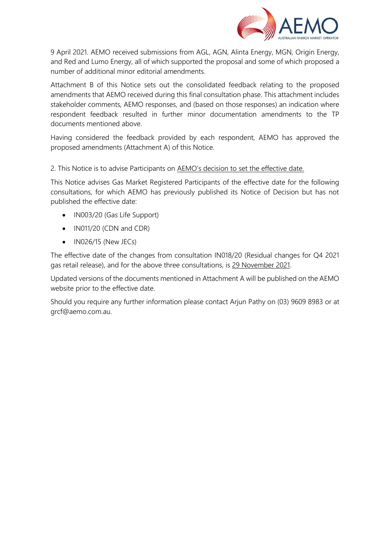

9 April 2021. AEMO received submissions from AGL, AGN, Alinta Energy, MGN, Origin Energy, and Red and Lumo Energy, all of which supported the proposal and some of which proposed a number of additional minor editorial amendments.

Attachment B of this Notice sets out the consolidated feedback relating to the proposed amendments that AEMO received during this final consultation phase. This attachment includes stakeholder comments, AEMO responses, and (based on those responses) an indication where respondent feedback resulted in further minor documentation amendments to the TP documents mentioned above.

Having considered the feedback provided by each respondent, AEMO has approved the proposed amendments (Attachment A) of this Notice.

2. This Notice is to advise Participants on AEMO's decision to set the effective date.

This Notice advises Gas Market Registered Participants of the effective date for the following consultations, for which AEMO has previously published its Notice of Decision but has not published the effective date:

- IN003/20 (Gas Life Support)
- IN011/20 (CDN and CDR)
- IN026/15 (New JECs)

The effective date of the changes from consultation IN018/20 (Residual changes for Q4 2021 gas retail release), and for the above three consultations, is 29 November 2021.

Updated versions of the documents mentioned in Attachment A will be published on the AEMO website prior to the effective date.

Should you require any further information please contact Arjun Pathy on (03) 9609 8983 or at grcf@aemo.com.au.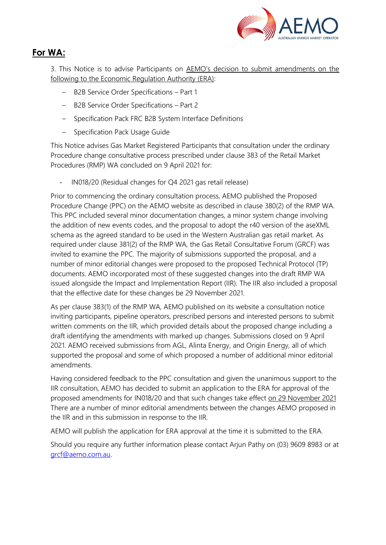

# **For WA:**

3. This Notice is to advise Participants on AEMO's decision to submit amendments on the following to the Economic Regulation Authority (ERA):

- B2B Service Order Specifications Part 1
- B2B Service Order Specifications Part 2
- Specification Pack FRC B2B System Interface Definitions
- Specification Pack Usage Guide

This Notice advises Gas Market Registered Participants that consultation under the ordinary Procedure change consultative process prescribed under clause 383 of the Retail Market Procedures (RMP) WA concluded on 9 April 2021 for:

- IN018/20 (Residual changes for Q4 2021 gas retail release)

Prior to commencing the ordinary consultation process, AEMO published the Proposed Procedure Change (PPC) on the AEMO website as described in clause 380(2) of the RMP WA. This PPC included several minor documentation changes, a minor system change involving the addition of new events codes, and the proposal to adopt the r40 version of the aseXML schema as the agreed standard to be used in the Western Australian gas retail market. As required under clause 381(2) of the RMP WA, the Gas Retail Consultative Forum (GRCF) was invited to examine the PPC. The majority of submissions supported the proposal, and a number of minor editorial changes were proposed to the proposed Technical Protocol (TP) documents. AEMO incorporated most of these suggested changes into the draft RMP WA issued alongside the Impact and Implementation Report (IIR). The IIR also included a proposal that the effective date for these changes be 29 November 2021.

As per clause 383(1) of the RMP WA, AEMO published on its website a consultation notice inviting participants, pipeline operators, prescribed persons and interested persons to submit written comments on the IIR, which provided details about the proposed change including a draft identifying the amendments with marked up changes. Submissions closed on 9 April 2021. AEMO received submissions from AGL, Alinta Energy, and Origin Energy, all of which supported the proposal and some of which proposed a number of additional minor editorial amendments.

Having considered feedback to the PPC consultation and given the unanimous support to the IIR consultation, AEMO has decided to submit an application to the ERA for approval of the proposed amendments for IN018/20 and that such changes take effect on 29 November 2021 There are a number of minor editorial amendments between the changes AEMO proposed in the IIR and in this submission in response to the IIR.

AEMO will publish the application for ERA approval at the time it is submitted to the ERA.

Should you require any further information please contact Arjun Pathy on (03) 9609 8983 or at [grcf@aemo.com.au.](mailto:grcf@aemo.com.au)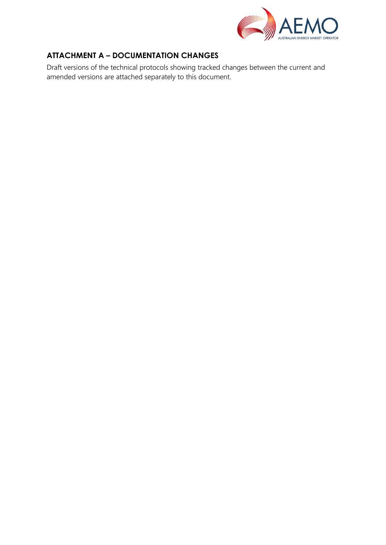

## **ATTACHMENT A – DOCUMENTATION CHANGES**

Draft versions of the technical protocols showing tracked changes between the current and amended versions are attached separately to this document.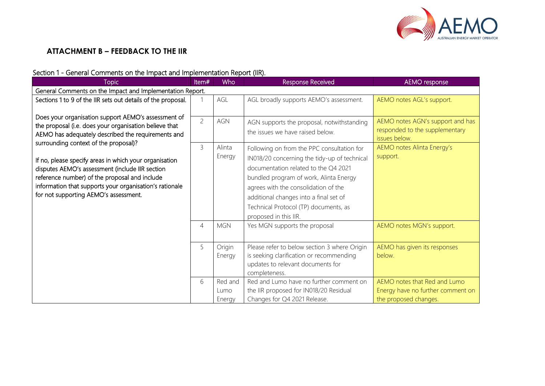

## **ATTACHMENT B – FEEDBACK TO THE IIR**

#### Section 1 - General Comments on the Impact and Implementation Report (IIR).

| <b>Topic</b>                                                 | Item#          | <b>Who</b>     | Response Received                                                      | <b>AEMO</b> response                                       |
|--------------------------------------------------------------|----------------|----------------|------------------------------------------------------------------------|------------------------------------------------------------|
| General Comments on the Impact and Implementation Report.    |                |                |                                                                        |                                                            |
| Sections 1 to 9 of the IIR sets out details of the proposal. |                | AGL            | AGL broadly supports AEMO's assessment.                                | AEMO notes AGL's support.                                  |
| Does your organisation support AEMO's assessment of          |                |                |                                                                        |                                                            |
| the proposal (i.e. does your organisation believe that       | $\overline{c}$ | <b>AGN</b>     | AGN supports the proposal, notwithstanding                             | AEMO notes AGN's support and has                           |
| AEMO has adequately described the requirements and           |                |                | the issues we have raised below.                                       | responded to the supplementary<br>issues below.            |
| surrounding context of the proposal)?                        | 3              | Alinta         | Following on from the PPC consultation for                             | AEMO notes Alinta Energy's                                 |
| If no, please specify areas in which your organisation       |                | Energy         | IN018/20 concerning the tidy-up of technical                           | support.                                                   |
| disputes AEMO's assessment (include IIR section              |                |                | documentation related to the Q4 2021                                   |                                                            |
| reference number) of the proposal and include                |                |                | bundled program of work, Alinta Energy                                 |                                                            |
| information that supports your organisation's rationale      |                |                | agrees with the consolidation of the                                   |                                                            |
| for not supporting AEMO's assessment.                        |                |                | additional changes into a final set of                                 |                                                            |
|                                                              |                |                | Technical Protocol (TP) documents, as                                  |                                                            |
|                                                              |                |                | proposed in this IIR.                                                  |                                                            |
|                                                              | $\overline{4}$ | <b>MGN</b>     | Yes MGN supports the proposal                                          | AEMO notes MGN's support.                                  |
|                                                              |                |                |                                                                        |                                                            |
|                                                              | 5              | Origin         | Please refer to below section 3 where Origin                           | AEMO has given its responses                               |
|                                                              |                | Energy         | is seeking clarification or recommending                               | below.                                                     |
|                                                              |                |                | updates to relevant documents for                                      |                                                            |
|                                                              |                |                | completeness.                                                          |                                                            |
|                                                              | 6              | Red and        | Red and Lumo have no further comment on                                | AEMO notes that Red and Lumo                               |
|                                                              |                | Lumo<br>Energy | the IIR proposed for IN018/20 Residual<br>Changes for Q4 2021 Release. | Energy have no further comment on<br>the proposed changes. |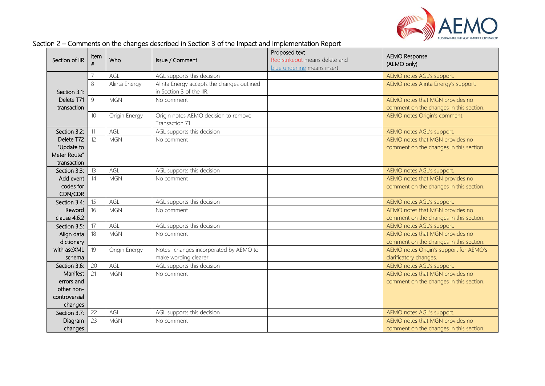

| Section of IIR         | Item<br># | Who           | Issue / Comment                                                        | Proposed text<br>Red strikeout means delete and<br>blue underline means insert | <b>AEMO Response</b><br>(AEMO only)                                  |
|------------------------|-----------|---------------|------------------------------------------------------------------------|--------------------------------------------------------------------------------|----------------------------------------------------------------------|
|                        |           | AGL           | AGL supports this decision                                             |                                                                                | AEMO notes AGL's support.                                            |
| Section 3.1:           | 8         | Alinta Energy | Alinta Energy accepts the changes outlined<br>in Section 3 of the IIR. |                                                                                | AEMO notes Alinta Energy's support.                                  |
| Delete T71             | 9         | <b>MGN</b>    | No comment                                                             |                                                                                | AEMO notes that MGN provides no                                      |
| transaction            |           |               |                                                                        |                                                                                | comment on the changes in this section.                              |
|                        | 10        | Origin Energy | Origin notes AEMO decision to remove<br>Transaction 71                 |                                                                                | AEMO notes Origin's comment.                                         |
| Section 3.2:           | 11        | AGL           | AGL supports this decision                                             |                                                                                | AEMO notes AGL's support.                                            |
| Delete T72             | 12        | <b>MGN</b>    | No comment                                                             |                                                                                | AEMO notes that MGN provides no                                      |
| "Update to             |           |               |                                                                        |                                                                                | comment on the changes in this section.                              |
| Meter Route"           |           |               |                                                                        |                                                                                |                                                                      |
| transaction            |           |               |                                                                        |                                                                                |                                                                      |
| Section 3.3:           | 13        | AGL           | AGL supports this decision                                             |                                                                                | AEMO notes AGL's support.                                            |
| Add event              | 14        | <b>MGN</b>    | No comment                                                             |                                                                                | AEMO notes that MGN provides no                                      |
| codes for              |           |               |                                                                        |                                                                                | comment on the changes in this section.                              |
| CDN/CDR                |           |               |                                                                        |                                                                                |                                                                      |
| Section 3.4:           | 15        | AGL           | AGL supports this decision                                             |                                                                                | AEMO notes AGL's support.                                            |
| Reword<br>clause 4.6.2 | 16        | <b>MGN</b>    | No comment                                                             |                                                                                | AEMO notes that MGN provides no                                      |
| Section 3.5:           | 17        | AGL           | AGL supports this decision                                             |                                                                                | comment on the changes in this section.<br>AEMO notes AGL's support. |
| Align data             | 18        | <b>MGN</b>    | No comment                                                             |                                                                                | AEMO notes that MGN provides no                                      |
| dictionary             |           |               |                                                                        |                                                                                | comment on the changes in this section.                              |
| with aseXML            | 19        | Origin Energy | Notes-changes incorporated by AEMO to                                  |                                                                                | AEMO notes Origin's support for AEMO's                               |
| schema                 |           |               | make wording clearer                                                   |                                                                                | clarificatory changes.                                               |
| Section 3.6:           | 20        | AGL           | AGL supports this decision                                             |                                                                                | AEMO notes AGL's support.                                            |
| Manifest               | 21        | <b>MGN</b>    | No comment                                                             |                                                                                | AEMO notes that MGN provides no                                      |
| errors and             |           |               |                                                                        |                                                                                | comment on the changes in this section.                              |
| other non-             |           |               |                                                                        |                                                                                |                                                                      |
| controversial          |           |               |                                                                        |                                                                                |                                                                      |
| changes                |           |               |                                                                        |                                                                                |                                                                      |
| Section 3.7:           | 22        | AGL           | AGL supports this decision                                             |                                                                                | AEMO notes AGL's support.                                            |
| Diagram                | 23        | <b>MGN</b>    | No comment                                                             |                                                                                | AEMO notes that MGN provides no                                      |
| changes                |           |               |                                                                        |                                                                                | comment on the changes in this section.                              |

#### Section 2 – Comments on the changes described in Section 3 of the Impact and Implementation Report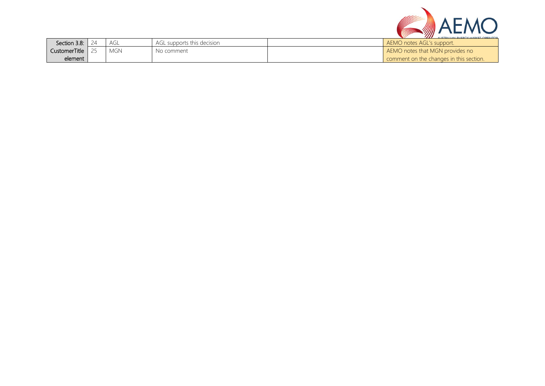

| Section 3.8: I | agl | agl<br>L supports this decision | .<br>ALICTRALIAN ENIERAY JAARVET ANERATA<br>AEMO notes AGL's support. |
|----------------|-----|---------------------------------|-----------------------------------------------------------------------|
| CustomerTitle  | MGN | No comment                      | AEMO notes that MGN provides no                                       |
| element        |     |                                 | comment on the changes in this section.                               |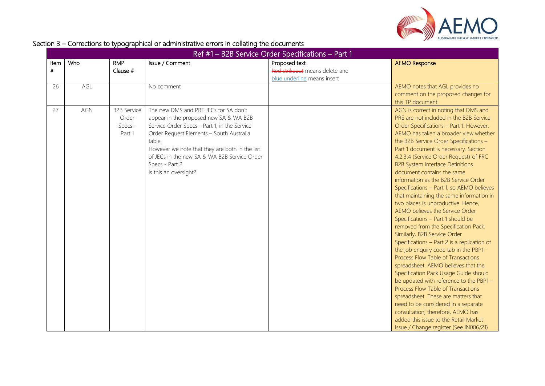

### Section 3 – Corrections to typographical or administrative errors in collating the documents

|           | Ref #1 - B2B Service Order Specifications - Part 1 |                                                  |                                                                                                                                                                                                                                                                                                                                     |                                                                                |                                                                                                                                                                                                                                                                                                                                                                                                                                                                                                                                                                                                                                                                                                                                                                                                                                                                                                                                                                                                                                                                                                                                                                                                               |  |
|-----------|----------------------------------------------------|--------------------------------------------------|-------------------------------------------------------------------------------------------------------------------------------------------------------------------------------------------------------------------------------------------------------------------------------------------------------------------------------------|--------------------------------------------------------------------------------|---------------------------------------------------------------------------------------------------------------------------------------------------------------------------------------------------------------------------------------------------------------------------------------------------------------------------------------------------------------------------------------------------------------------------------------------------------------------------------------------------------------------------------------------------------------------------------------------------------------------------------------------------------------------------------------------------------------------------------------------------------------------------------------------------------------------------------------------------------------------------------------------------------------------------------------------------------------------------------------------------------------------------------------------------------------------------------------------------------------------------------------------------------------------------------------------------------------|--|
| Item<br># | Who                                                | <b>RMP</b><br>Clause #                           | Issue / Comment                                                                                                                                                                                                                                                                                                                     | Proposed text<br>Red strikeout means delete and<br>blue underline means insert | <b>AEMO Response</b>                                                                                                                                                                                                                                                                                                                                                                                                                                                                                                                                                                                                                                                                                                                                                                                                                                                                                                                                                                                                                                                                                                                                                                                          |  |
| 26        | AGL                                                |                                                  | No comment                                                                                                                                                                                                                                                                                                                          |                                                                                | AEMO notes that AGL provides no<br>comment on the proposed changes for<br>this TP document.                                                                                                                                                                                                                                                                                                                                                                                                                                                                                                                                                                                                                                                                                                                                                                                                                                                                                                                                                                                                                                                                                                                   |  |
| 27        | <b>AGN</b>                                         | <b>B2B Service</b><br>Order<br>Specs -<br>Part 1 | The new DMS and PRE JECs for SA don't<br>appear in the proposed new SA & WA B2B<br>Service Order Specs - Part 1, in the Service<br>Order Request Elements - South Australia<br>table.<br>However we note that they are both in the list<br>of JECs in the new SA & WA B2B Service Order<br>Specs - Part 2.<br>Is this an oversight? |                                                                                | AGN is correct in noting that DMS and<br>PRE are not included in the B2B Service<br>Order Specifications - Part 1. However,<br>AEMO has taken a broader view whether<br>the B2B Service Order Specifications -<br>Part 1 document is necessary. Section<br>4.2.3.4 (Service Order Request) of FRC<br><b>B2B System Interface Definitions</b><br>document contains the same<br>information as the B2B Service Order<br>Specifications - Part 1, so AEMO believes<br>that maintaining the same information in<br>two places is unproductive. Hence,<br><b>AEMO believes the Service Order</b><br>Specifications - Part 1 should be<br>removed from the Specification Pack.<br>Similarly, B2B Service Order<br>Specifications - Part 2 is a replication of<br>the job enquiry code tab in the PBP1 -<br>Process Flow Table of Transactions<br>spreadsheet. AEMO believes that the<br>Specification Pack Usage Guide should<br>be updated with reference to the PBP1-<br>Process Flow Table of Transactions<br>spreadsheet. These are matters that<br>need to be considered in a separate<br>consultation; therefore, AEMO has<br>added this issue to the Retail Market<br>Issue / Change register (See IN006/21) |  |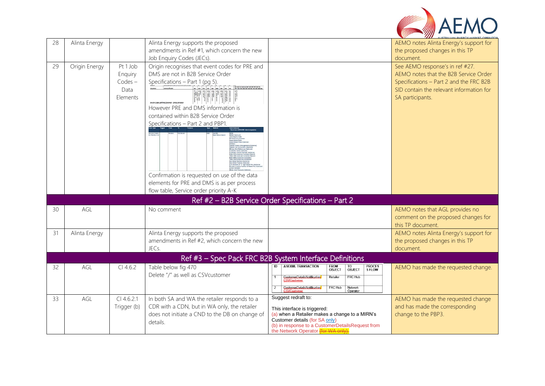

| 28 | Alinta Energy |                                                      | Alinta Energy supports the proposed<br>amendments in Ref #1, which concern the new<br>Job Enquiry Codes (JECs).                                                                                                                                                                                                                                                                                                                  |                                                                                                                                                                                                                                    | AEMO notes Alinta Energy's support for<br>the proposed changes in this TP<br>document.                                                                                              |
|----|---------------|------------------------------------------------------|----------------------------------------------------------------------------------------------------------------------------------------------------------------------------------------------------------------------------------------------------------------------------------------------------------------------------------------------------------------------------------------------------------------------------------|------------------------------------------------------------------------------------------------------------------------------------------------------------------------------------------------------------------------------------|-------------------------------------------------------------------------------------------------------------------------------------------------------------------------------------|
| 29 | Origin Energy | Pt 1 Job<br>Enquiry<br>$Codes -$<br>Data<br>Elements | Origin recognises that event codes for PRE and<br>DMS are not in B2B Service Order<br>Specifications - Part 1 (pg 5).<br>Service Order Request Elements - South Austral<br>However PRE and DMS information is<br>contained within B2B Service Order<br>Specifications - Part 2 and PBP1.<br>Confirmation is requested on use of the data<br>elements for PRE and DMS is as per process<br>flow table, Service order priority A-K |                                                                                                                                                                                                                                    | See AEMO response's in ref #27.<br>AEMO notes that the B2B Service Order<br>Specifications - Part 2 and the FRC B2B<br>SID contain the relevant information for<br>SA participants. |
|    |               |                                                      |                                                                                                                                                                                                                                                                                                                                                                                                                                  | Ref #2 - B2B Service Order Specifications - Part 2                                                                                                                                                                                 |                                                                                                                                                                                     |
| 30 | AGL           |                                                      | No comment                                                                                                                                                                                                                                                                                                                                                                                                                       |                                                                                                                                                                                                                                    | AEMO notes that AGL provides no<br>comment on the proposed changes for<br>this TP document.                                                                                         |
| 31 | Alinta Energy |                                                      | Alinta Energy supports the proposed<br>amendments in Ref #2, which concern the new<br>JEC <sub>s</sub> .                                                                                                                                                                                                                                                                                                                         |                                                                                                                                                                                                                                    | AEMO notes Alinta Energy's support for<br>the proposed changes in this TP<br>document.                                                                                              |
|    |               |                                                      |                                                                                                                                                                                                                                                                                                                                                                                                                                  | Ref #3 - Spec Pack FRC B2B System Interface Definitions                                                                                                                                                                            |                                                                                                                                                                                     |
| 32 | AGL           | $Cl$ 4.6.2                                           | Table below fig 470<br>Delete "/" as well as CSVcustomer                                                                                                                                                                                                                                                                                                                                                                         | <b>ASEXML TRANSACTION</b><br>PROCES<br>S FLOW<br>$\overline{ID}$<br><b>FROM</b><br>TO<br>OBJECT<br>OBJECT<br>FRC Hub<br>Retailer<br>CustomerDetailsNotification<br>FRC Hub<br>Network<br>Operator<br>CustomerDetailsNotification   | AEMO has made the requested change.                                                                                                                                                 |
| 33 | AGL           | $Cl$ 4.6.2.1<br>Trigger (b)                          | In both SA and WA the retailer responds to a<br>CDR with a CDN, but in WA only, the retailer<br>does not initiate a CND to the DB on change of<br>details.                                                                                                                                                                                                                                                                       | Suggest redraft to:<br>This interface is triggered:<br>(a) when a Retailer makes a change to a MIRN's<br>Customer details (for SA only)<br>(b) in response to a CustomerDetailsRequest from<br>the Network Operator (for WA only). | AEMO has made the requested change<br>and has made the corresponding<br>change to the PBP3.                                                                                         |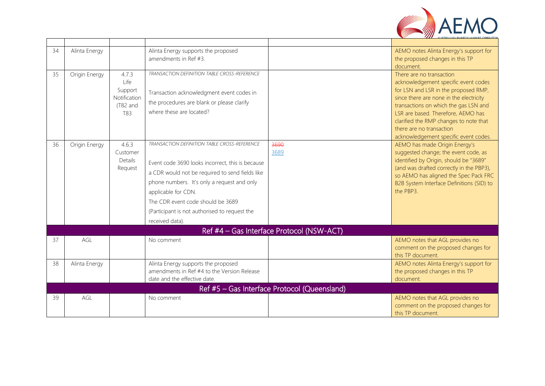

| 34 | Alinta Energy |                          | Alinta Energy supports the proposed                 |                                              | AEMO notes Alinta Energy's support for                                      |
|----|---------------|--------------------------|-----------------------------------------------------|----------------------------------------------|-----------------------------------------------------------------------------|
|    |               |                          | amendments in Ref #3.                               |                                              | the proposed changes in this TP                                             |
|    |               |                          |                                                     |                                              | document.                                                                   |
| 35 | Origin Energy | 4.7.3                    | <b>TRANSACTION DEFINITION TABLE CROSS-REFERENCE</b> |                                              | There are no transaction                                                    |
|    |               | Life                     |                                                     |                                              | acknowledgement specific event codes                                        |
|    |               | Support                  | Transaction acknowledgment event codes in           |                                              | for LSN and LSR in the proposed RMP,                                        |
|    |               | Notification<br>(T82 and | the procedures are blank or please clarify          |                                              | since there are none in the electricity                                     |
|    |               | T83                      | where these are located?                            |                                              | transactions on which the gas LSN and<br>LSR are based. Therefore, AEMO has |
|    |               |                          |                                                     |                                              | clarified the RMP changes to note that                                      |
|    |               |                          |                                                     |                                              | there are no transaction                                                    |
|    |               |                          |                                                     |                                              | acknowledgement specific event codes.                                       |
| 36 | Origin Energy | 4.6.3                    | <b>TRANSACTION DEFINITION TABLE CROSS-REFERENCE</b> | 3690                                         | AEMO has made Origin Energy's                                               |
|    |               | Customer                 |                                                     | 3689                                         | suggested change; the event code, as                                        |
|    |               | Details                  | Event code 3690 looks incorrect, this is because    |                                              | identified by Origin, should be "3689"                                      |
|    |               | Request                  | a CDR would not be required to send fields like     |                                              | (and was drafted correctly in the PBP3),                                    |
|    |               |                          |                                                     |                                              | so AEMO has aligned the Spec Pack FRC                                       |
|    |               |                          | phone numbers. It's only a request and only         |                                              | B2B System Interface Definitions (SID) to                                   |
|    |               |                          | applicable for CDN.                                 |                                              | the PBP3.                                                                   |
|    |               |                          | The CDR event code should be 3689                   |                                              |                                                                             |
|    |               |                          | (Participant is not authorised to request the       |                                              |                                                                             |
|    |               |                          | received data).                                     |                                              |                                                                             |
|    |               |                          |                                                     | Ref #4 - Gas Interface Protocol (NSW-ACT)    |                                                                             |
| 37 | AGL           |                          | No comment                                          |                                              | AEMO notes that AGL provides no                                             |
|    |               |                          |                                                     |                                              | comment on the proposed changes for                                         |
|    |               |                          |                                                     |                                              | this TP document.                                                           |
| 38 | Alinta Energy |                          | Alinta Energy supports the proposed                 |                                              | AEMO notes Alinta Energy's support for                                      |
|    |               |                          | amendments in Ref #4 to the Version Release         |                                              | the proposed changes in this TP                                             |
|    |               |                          | date and the effective date.                        |                                              | document.                                                                   |
|    |               |                          |                                                     | Ref #5 - Gas Interface Protocol (Queensland) |                                                                             |
| 39 | AGL           |                          | No comment                                          |                                              | AEMO notes that AGL provides no                                             |
|    |               |                          |                                                     |                                              | comment on the proposed changes for                                         |
|    |               |                          |                                                     |                                              | this TP document.                                                           |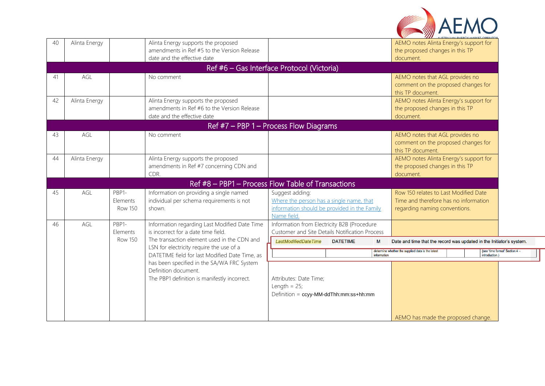

| 40 | Alinta Energy                            |                              | Alinta Energy supports the proposed<br>amendments in Ref #5 to the Version Release<br>date and the effective date  |                                                                                                                           |                 |             | AEMO notes Alinta Energy's support for<br>the proposed changes in this TP<br>document.                          |               |                             |
|----|------------------------------------------|------------------------------|--------------------------------------------------------------------------------------------------------------------|---------------------------------------------------------------------------------------------------------------------------|-----------------|-------------|-----------------------------------------------------------------------------------------------------------------|---------------|-----------------------------|
|    |                                          |                              | Ref #6 - Gas Interface Protocol (Victoria)                                                                         |                                                                                                                           |                 |             |                                                                                                                 |               |                             |
| 41 | AGL                                      |                              | No comment                                                                                                         |                                                                                                                           |                 |             | AEMO notes that AGL provides no<br>comment on the proposed changes for<br>this TP document                      |               |                             |
| 42 | Alinta Energy                            |                              | Alinta Energy supports the proposed<br>amendments in Ref #6 to the Version Release<br>date and the effective date  |                                                                                                                           |                 |             | AEMO notes Alinta Energy's support for<br>the proposed changes in this TP<br>document.                          |               |                             |
|    | Ref $#7$ – PBP 1 – Process Flow Diagrams |                              |                                                                                                                    |                                                                                                                           |                 |             |                                                                                                                 |               |                             |
| 43 | AGL                                      |                              | No comment                                                                                                         |                                                                                                                           |                 |             | AEMO notes that AGL provides no<br>comment on the proposed changes for<br>this TP document.                     |               |                             |
| 44 | Alinta Energy                            |                              | Alinta Energy supports the proposed<br>amendments in Ref #7 concerning CDN and<br>CDR.                             |                                                                                                                           |                 |             | AEMO notes Alinta Energy's support for<br>the proposed changes in this TP<br>document                           |               |                             |
|    |                                          |                              | Ref #8 - PBP1 - Process Flow Table of Transactions                                                                 |                                                                                                                           |                 |             |                                                                                                                 |               |                             |
| 45 | AGL                                      | PBP1-<br>Elements<br>Row 150 | Information on providing a single named<br>individual per schema requirements is not<br>shown.                     | Suggest adding:<br>Where the person has a single name, that<br>information should be provided in the Family<br>Name field |                 |             | Row 150 relates to Last Modified Date<br>Time and therefore has no information<br>regarding naming conventions. |               |                             |
| 46 | AGL                                      | PBP1-<br>Elements            | Information regarding Last Modified Date Time<br>is incorrect for a date time field.                               | Information from Electricity B2B {Procedure<br>Customer and Site Details Notification Process                             |                 |             |                                                                                                                 |               |                             |
|    |                                          | <b>Row 150</b>               | The transaction element used in the CDN and                                                                        | <b>LastModifiedDateTime</b>                                                                                               | <b>DATETIME</b> | M           | Date and time that the record was updated in the Initiator's system.                                            |               |                             |
|    |                                          |                              | LSN for electricity require the use of a<br>DATETIME field for last Modified Date Time, as                         |                                                                                                                           |                 | information | determine whether the supplied data is the latest                                                               | introduction. | see 'time format' Section 4 |
|    |                                          |                              | has been specified in the SA/WA FRC System<br>Definition document.<br>The PBP1 definition is manifestly incorrect. | Attributes: Date Time;<br>Length = $25$ ;<br>Definition = ccyy-MM-ddThh:mm:ss+hh:mm                                       |                 |             | AEMO has made the proposed change.                                                                              |               |                             |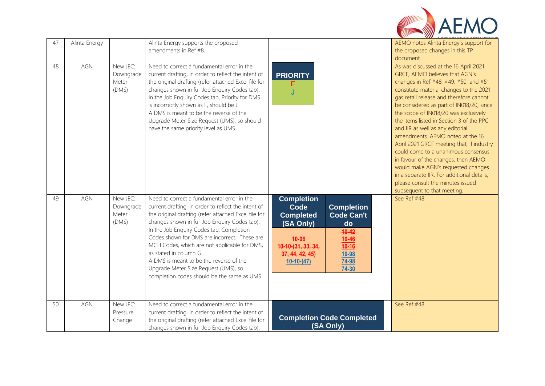| 47 | Alinta Energy |                                         | Alinta Energy supports the proposed<br>amendments in Ref #8.                                                                                                                                                                                                                                                                                                                                                                                                                                                       |                                                                                                                                                                                                                                                  | AEMO notes Alinta Energy's support for<br>the proposed changes in this TP<br>document.                                                                                                                                                                                                                                                                                                                                                                                                                                                                                                                                                                                                             |
|----|---------------|-----------------------------------------|--------------------------------------------------------------------------------------------------------------------------------------------------------------------------------------------------------------------------------------------------------------------------------------------------------------------------------------------------------------------------------------------------------------------------------------------------------------------------------------------------------------------|--------------------------------------------------------------------------------------------------------------------------------------------------------------------------------------------------------------------------------------------------|----------------------------------------------------------------------------------------------------------------------------------------------------------------------------------------------------------------------------------------------------------------------------------------------------------------------------------------------------------------------------------------------------------------------------------------------------------------------------------------------------------------------------------------------------------------------------------------------------------------------------------------------------------------------------------------------------|
| 48 | AGN           | New JEC:<br>Downgrade<br>Meter<br>(DMS) | Need to correct a fundamental error in the<br>current drafting, in order to reflect the intent of<br>the original drafting (refer attached Excel file for<br>changes shown in full Job Enquiry Codes tab).<br>In the Job Enquiry Codes tab, Priority for DMS<br>is incorrectly shown as F, should be J.<br>A DMS is meant to be the reverse of the<br>Upgrade Meter Size Request (UMS), so should<br>have the same priority level as UMS.                                                                          | <b>PRIORITY</b><br><u>ل</u>                                                                                                                                                                                                                      | As was discussed at the 16 April 2021<br>GRCF, AEMO believes that AGN's<br>changes in Ref #48, #49, #50, and #51<br>constitute material changes to the 2021<br>gas retail release and therefore cannot<br>be considered as part of IN018/20, since<br>the scope of IN018/20 was exclusively<br>the items listed in Section 3 of the PPC<br>and IIR as well as any editorial<br>amendments. AEMO noted at the 16<br>April 2021 GRCF meeting that, if industry<br>could come to a unanimous consensus<br>in favour of the changes, then AEMO<br>would make AGN's requested changes<br>in a separate IIR. For additional details,<br>please consult the minutes issued<br>subsequent to that meeting. |
| 49 | AGN           | New JEC:<br>Downgrade<br>Meter<br>(DMS) | Need to correct a fundamental error in the<br>current drafting, in order to reflect the intent of<br>the original drafting (refer attached Excel file for<br>changes shown in full Job Enquiry Codes tab).<br>In the Job Enquiry Codes tab, Completion<br>Codes shown for DMS are incorrect. These are<br>MCH Codes, which are not applicable for DMS,<br>as stated in column G.<br>A DMS is meant to be the reverse of the<br>Upgrade Meter Size Request (UMS), so<br>completion codes should be the same as UMS. | <b>Completion</b><br>Code<br><b>Completion</b><br><b>Code Can't</b><br><b>Completed</b><br>(SA Only)<br>do<br>$10 - 42$<br>10-46<br>40-06<br>10-10-(31, 33, 34,<br>$10 - 16$<br>37, 44, 42, 45<br><u>10-98</u><br>74-98<br>$10-10-(47)$<br>74-30 | See Ref #48.                                                                                                                                                                                                                                                                                                                                                                                                                                                                                                                                                                                                                                                                                       |
| 50 | AGN           | New JEC:<br>Pressure<br>Change          | Need to correct a fundamental error in the<br>current drafting, in order to reflect the intent of<br>the original drafting (refer attached Excel file for<br>changes shown in full Job Enquiry Codes tab).                                                                                                                                                                                                                                                                                                         | <b>Completion Code Completed</b><br>(SA Only)                                                                                                                                                                                                    | See Ref #48.                                                                                                                                                                                                                                                                                                                                                                                                                                                                                                                                                                                                                                                                                       |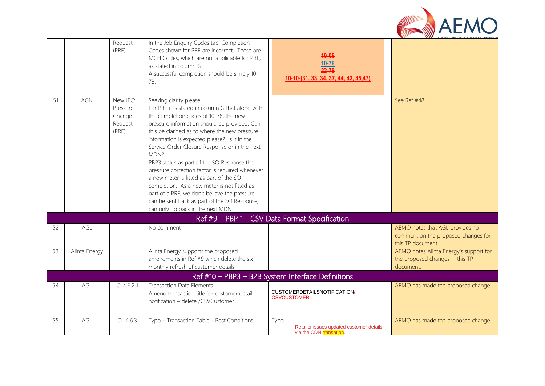

|    |               | Request<br>(PRE)                                   | In the Job Enquiry Codes tab, Completion<br>Codes shown for PRE are incorrect. These are<br>MCH Codes, which are not applicable for PRE,<br>as stated in column G.<br>A successful completion should be simply 10-<br>78.                                                                                                                                                                                                                                                                                                                                                                                                                                           | 40-06<br>$10 - 78$<br>$22 - 78$<br>10-(31, 33, 34, 37, 44, 42, 45,47)       |                                                                                             |
|----|---------------|----------------------------------------------------|---------------------------------------------------------------------------------------------------------------------------------------------------------------------------------------------------------------------------------------------------------------------------------------------------------------------------------------------------------------------------------------------------------------------------------------------------------------------------------------------------------------------------------------------------------------------------------------------------------------------------------------------------------------------|-----------------------------------------------------------------------------|---------------------------------------------------------------------------------------------|
| 51 | <b>AGN</b>    | New JEC:<br>Pressure<br>Change<br>Request<br>(PRE) | Seeking clarity please:<br>For PRE it is stated in column G that along with<br>the completion codes of 10-78, the new<br>pressure information should be provided. Can<br>this be clarified as to where the new pressure<br>information is expected please? Is it in the<br>Service Order Closure Response or in the next<br>MDN?<br>PBP3 states as part of the SO Response the<br>pressure correction factor is required whenever<br>a new meter is fitted as part of the SO<br>completion. As a new meter is not fitted as<br>part of a PRE, we don't believe the pressure<br>can be sent back as part of the SO Response, it<br>can only go back in the next MDN. |                                                                             | See Ref #48.                                                                                |
|    |               |                                                    |                                                                                                                                                                                                                                                                                                                                                                                                                                                                                                                                                                                                                                                                     | Ref #9 - PBP 1 - CSV Data Format Specification                              |                                                                                             |
| 52 | AGL           |                                                    | No comment                                                                                                                                                                                                                                                                                                                                                                                                                                                                                                                                                                                                                                                          |                                                                             | AEMO notes that AGL provides no<br>comment on the proposed changes for<br>this TP document. |
| 53 | Alinta Energy |                                                    | Alinta Energy supports the proposed<br>amendments in Ref #9 which delete the six-<br>monthly refresh of customer details.                                                                                                                                                                                                                                                                                                                                                                                                                                                                                                                                           |                                                                             | AEMO notes Alinta Energy's support for<br>the proposed changes in this TP<br>document.      |
|    |               |                                                    |                                                                                                                                                                                                                                                                                                                                                                                                                                                                                                                                                                                                                                                                     | Ref #10 - PBP3 - B2B System Interface Definitions                           |                                                                                             |
| 54 | AGL           | $Cl$ 4.6.2.1                                       | <b>Transaction Data Elements</b><br>Amend transaction title for customer detail<br>notification - delete /CSVCustomer                                                                                                                                                                                                                                                                                                                                                                                                                                                                                                                                               | CUSTOMERDETAILSNOTIFICATION/<br><b>CSVCUSTOMER</b>                          | AEMO has made the proposed change.                                                          |
| 55 | AGL           | CL 4.6.3                                           | Typo - Transaction Table - Post Conditions                                                                                                                                                                                                                                                                                                                                                                                                                                                                                                                                                                                                                          | Typo<br>Retailer issues updated customer details<br>via the CDN transation. | AEMO has made the proposed change.                                                          |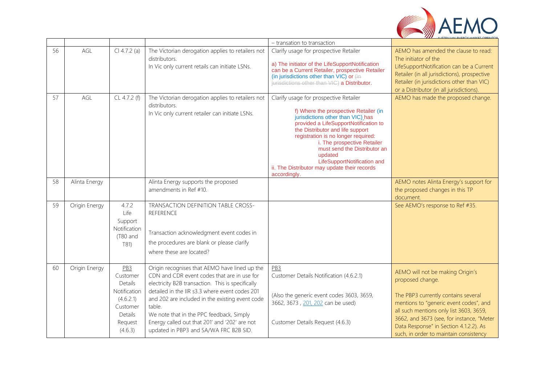

|    |               |                                                                                                                  |                                                                                                                                                                                                                                                                                                                                                                                                         | - transation to transaction                                                                                                                                                                                                                                                                                                                                                                                       |                                                                                                                                                                                                                                                                                                                   |
|----|---------------|------------------------------------------------------------------------------------------------------------------|---------------------------------------------------------------------------------------------------------------------------------------------------------------------------------------------------------------------------------------------------------------------------------------------------------------------------------------------------------------------------------------------------------|-------------------------------------------------------------------------------------------------------------------------------------------------------------------------------------------------------------------------------------------------------------------------------------------------------------------------------------------------------------------------------------------------------------------|-------------------------------------------------------------------------------------------------------------------------------------------------------------------------------------------------------------------------------------------------------------------------------------------------------------------|
| 56 | AGL           | $Cl 4.7.2$ (a)                                                                                                   | The Victorian derogation applies to retailers not<br>distributors.<br>In Vic only current retails can initiate LSNs.                                                                                                                                                                                                                                                                                    | Clarify usage for prospective Retailer<br>a) The initiator of the LifeSupportNotification<br>can be a Current Retailer, prospective Retailer<br>(in jurisdictions other than VIC) or (in<br>jurisdictions other than VIC) a Distributor.                                                                                                                                                                          | AEMO has amended the clause to read:<br>The initiator of the<br>LifeSupportNotification can be a Current<br>Retailer (in all jurisdictions), prospective<br>Retailer (in jurisdictions other than VIC)<br>or a Distributor (in all jurisdictions).                                                                |
| 57 | AGL           | CL 4.7.2 (f)                                                                                                     | The Victorian derogation applies to retailers not<br>distributors.<br>In Vic only current retailer can initiate LSNs.                                                                                                                                                                                                                                                                                   | Clarify usage for prospective Retailer<br>f) Where the prospective Retailer (in<br>jurisdictions other than VIC) has<br>provided a LifeSupportNotification to<br>the Distributor and life support<br>registration is no longer required:<br>i. The prospective Retailer<br>must send the Distributor an<br>updated<br>LifeSupportNotification and<br>ii. The Distributor may update their records<br>accordingly. | AEMO has made the proposed change.                                                                                                                                                                                                                                                                                |
| 58 | Alinta Energy |                                                                                                                  | Alinta Energy supports the proposed<br>amendments in Ref #10.                                                                                                                                                                                                                                                                                                                                           |                                                                                                                                                                                                                                                                                                                                                                                                                   | AEMO notes Alinta Energy's support for<br>the proposed changes in this TP<br>document.                                                                                                                                                                                                                            |
| 59 | Origin Energy | 4.7.2<br>Life<br>Support<br>Notification<br>(T80 and<br>T81)                                                     | TRANSACTION DEFINITION TABLE CROSS-<br><b>REFERENCE</b><br>Transaction acknowledgment event codes in<br>the procedures are blank or please clarify<br>where these are located?                                                                                                                                                                                                                          |                                                                                                                                                                                                                                                                                                                                                                                                                   | See AEMO's response to Ref #35.                                                                                                                                                                                                                                                                                   |
| 60 | Origin Energy | PB <sub>3</sub><br>Customer<br>Details<br>Notification<br>(4.6.2.1)<br>Customer<br>Details<br>Request<br>(4.6.3) | Origin recognises that AEMO have lined up the<br>CDN and CDR event codes that are in use for<br>electricity B2B transaction. This is specifically<br>detailed in the IIR s3.3 where event codes 201<br>and 202 are included in the existing event code<br>table.<br>We note that in the PPC feedback, Simply<br>Energy called out that 201' and '202' are not<br>updated in PBP3 and SA/WA FRC B2B SID. | PB <sub>3</sub><br>Customer Details Notification (4.6.2.1)<br>(Also the generic event codes 3603, 3659,<br>3662, 3673, 201, 202 can be used)<br>Customer Details Request (4.6.3)                                                                                                                                                                                                                                  | AEMO will not be making Origin's<br>proposed change.<br>The PBP3 currently contains several<br>mentions to "generic event codes", and<br>all such mentions only list 3603, 3659,<br>3662, and 3673 (see, for instance, "Meter<br>Data Response" in Section 4.1.2.2). As<br>such, in order to maintain consistency |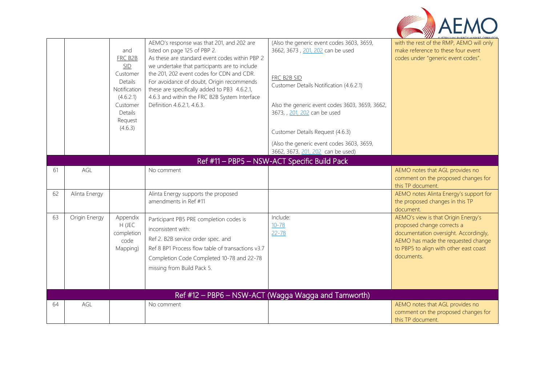

|    |               | and<br>FRC B2B<br>SID<br>Customer<br>Details<br>Notification<br>(4.6.2.1)<br>Customer<br>Details<br>Request<br>(4.6.3) | AEMO's response was that 201, and 202 are<br>listed on page 125 of PBP 2.<br>As these are standard event codes within PBP 2<br>we undertake that participants are to include<br>the 201, 202 event codes for CDN and CDR.<br>For avoidance of doubt, Origin recommends<br>these are specifically added to PB3 4.6.2.1,<br>4.6.3 and within the FRC B2B System Interface<br>Definition 4.6.2.1, 4.6.3. | (Also the generic event codes 3603, 3659,<br>3662, 3673, 201, 202 can be used<br>FRC B2B SID<br>Customer Details Notification (4.6.2.1)<br>Also the generic event codes 3603, 3659, 3662,<br>3673, , 201, 202 can be used<br>Customer Details Request (4.6.3)<br>(Also the generic event codes 3603, 3659,<br>3662, 3673, 201, 202 can be used) | with the rest of the RMP, AEMO will only<br>make reference to these four event<br>codes under "generic event codes".                                                                                     |
|----|---------------|------------------------------------------------------------------------------------------------------------------------|-------------------------------------------------------------------------------------------------------------------------------------------------------------------------------------------------------------------------------------------------------------------------------------------------------------------------------------------------------------------------------------------------------|-------------------------------------------------------------------------------------------------------------------------------------------------------------------------------------------------------------------------------------------------------------------------------------------------------------------------------------------------|----------------------------------------------------------------------------------------------------------------------------------------------------------------------------------------------------------|
|    |               |                                                                                                                        |                                                                                                                                                                                                                                                                                                                                                                                                       | Ref #11 - PBP5 - NSW-ACT Specific Build Pack                                                                                                                                                                                                                                                                                                    |                                                                                                                                                                                                          |
| 61 | AGL           |                                                                                                                        | No comment                                                                                                                                                                                                                                                                                                                                                                                            |                                                                                                                                                                                                                                                                                                                                                 | AEMO notes that AGL provides no<br>comment on the proposed changes for<br>this TP document.                                                                                                              |
| 62 | Alinta Energy |                                                                                                                        | Alinta Energy supports the proposed<br>amendments in Ref #11                                                                                                                                                                                                                                                                                                                                          |                                                                                                                                                                                                                                                                                                                                                 | AEMO notes Alinta Energy's support for<br>the proposed changes in this TP<br>document.                                                                                                                   |
| 63 | Origin Energy | Appendix<br>H (JEC<br>completion<br>code<br>Mapping)                                                                   | Participant PB5 PRE completion codes is<br>inconsistent with:<br>Ref 2. B2B service order spec. and<br>Ref 8 BP1 Process flow table of transactions v3.7<br>Completion Code Completed 10-78 and 22-78<br>missing from Build Pack 5.                                                                                                                                                                   | Include:<br>$10 - 78$<br>$22 - 78$                                                                                                                                                                                                                                                                                                              | AEMO's view is that Origin Energy's<br>proposed change corrects a<br>documentation oversight. Accordingly,<br>AEMO has made the requested change<br>to PBP5 to align with other east coast<br>documents. |
|    |               |                                                                                                                        |                                                                                                                                                                                                                                                                                                                                                                                                       | Ref #12 - PBP6 - NSW-ACT (Wagga Wagga and Tamworth)                                                                                                                                                                                                                                                                                             |                                                                                                                                                                                                          |
| 64 | AGL           |                                                                                                                        | No comment                                                                                                                                                                                                                                                                                                                                                                                            |                                                                                                                                                                                                                                                                                                                                                 | AEMO notes that AGL provides no<br>comment on the proposed changes for<br>this TP document.                                                                                                              |